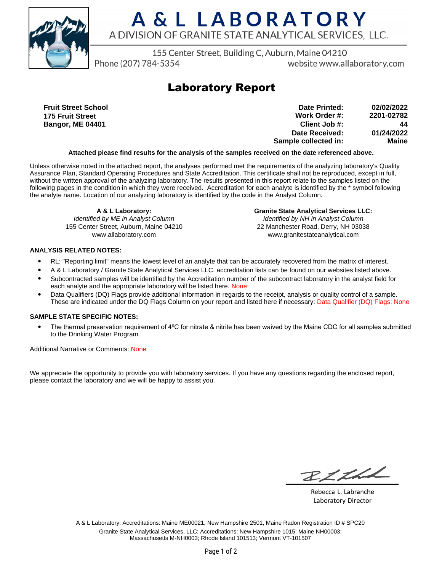

## A & L LABORATORY A DIVISION OF GRANITE STATE ANALYTICAL SERVICES. LLC.

155 Center Street, Building C, Auburn, Maine 04210

Phone (207) 784-5354

website www.allaboratory.com

### **Laboratory Report**

**Fruit Street School 175 Fruit Street Bangor, ME 04401**

| 02/02/2022   | Date Printed:        |
|--------------|----------------------|
| 2201-02782   | Work Order #:        |
| 44           | Client Job #:        |
| 01/24/2022   | Date Received:       |
| <b>Maine</b> | Sample collected in: |

#### **Attached please find results for the analysis of the samples received on the date referenced above.**

Unless otherwise noted in the attached report, the analyses performed met the requirements of the analyzing laboratory's Quality Assurance Plan, Standard Operating Procedures and State Accreditation. This certificate shall not be reproduced, except in full, without the written approval of the analyzing laboratory. The results presented in this report relate to the samples listed on the following pages in the condition in which they were received. Accreditation for each analyte is identified by the \* symbol following the analyte name. Location of our analyzing laboratory is identified by the code in the Analyst Column.

**A & L Laboratory:** Identified by ME in Analyst Column 155 Center Street, Auburn, Maine 04210 www.allaboratory.com

**Granite State Analytical Services LLC:** Identified by NH in Analyst Column 22 Manchester Road, Derry, NH 03038 www.granitestateanalytical.com

### **ANALYSIS RELATED NOTES:**

- RL: "Reporting limit" means the lowest level of an analyte that can be accurately recovered from the matrix of interest.
- A & L Laboratory / Granite State Analytical Services LLC. accreditation lists can be found on our websites listed above.
- Subcontracted samples will be identified by the Accreditation number of the subcontract laboratory in the analyst field for each analyte and the appropriate laboratory will be listed here. None
- Data Qualifiers (DQ) Flags provide additional information in regards to the receipt, analysis or quality control of a sample. These are indicated under the DQ Flags Column on your report and listed here if necessary: Data Qualifier (DQ) Flags: None

#### **SAMPLE STATE SPECIFIC NOTES:**

• The thermal preservation requirement of 4°C for nitrate & nitrite has been waived by the Maine CDC for all samples submitted to the Drinking Water Program.

Additional Narrative or Comments: None

We appreciate the opportunity to provide you with laboratory services. If you have any questions regarding the enclosed report, please contact the laboratory and we will be happy to assist you.

RICH

Rebecca L. Labranche Laboratory Director

A & L Laboratory: Accreditations: Maine ME00021, New Hampshire 2501, Maine Radon Registration ID # SPC20 Granite State Analytical Services, LLC: Accreditations: New Hampshire 1015; Maine NH00003; Massachusetts M-NH0003; Rhode Island 101513; Vermont VT-101507